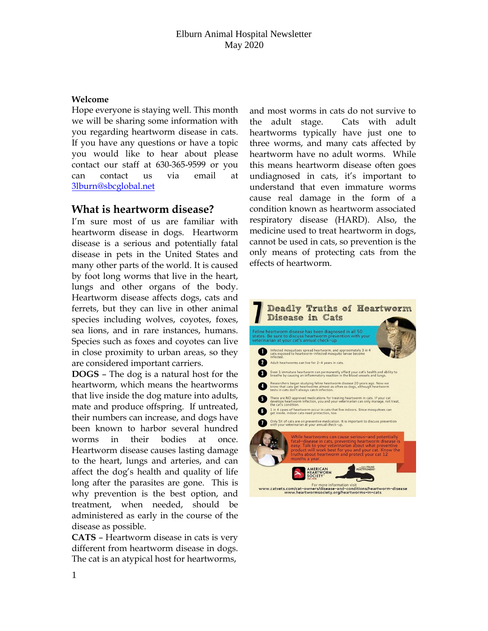#### **Welcome**

Hope everyone is staying well. This month we will be sharing some information with you regarding heartworm disease in cats. If you have any questions or have a topic you would like to hear about please contact our staff at 630-365-9599 or you can contact us via email at [3lburn@sbcglobal.net](mailto:3lburn@sbcglobal.net)

### **What is heartworm disease?**

I'm sure most of us are familiar with heartworm disease in dogs. Heartworm disease is a serious and potentially fatal disease in pets in the United States and many other parts of the world. It is caused by foot long worms that live in the heart, lungs and other organs of the body. Heartworm disease affects dogs, cats and ferrets, but they can live in other animal species including wolves, coyotes, foxes, sea lions, and in rare instances, humans. Species such as foxes and coyotes can live in close proximity to urban areas, so they are considered important carriers.

**DOGS** – The dog is a natural host for the heartworm, which means the heartworms that live inside the dog mature into adults, mate and produce offspring. If untreated, their numbers can increase, and dogs have been known to harbor several hundred worms in their bodies at once. Heartworm disease causes lasting damage to the heart, lungs and arteries, and can affect the dog's health and quality of life long after the parasites are gone. This is why prevention is the best option, and treatment, when needed, should be administered as early in the course of the disease as possible.

**CATS** – Heartworm disease in cats is very different from heartworm disease in dogs. The cat is an atypical host for heartworms,

and most worms in cats do not survive to the adult stage. Cats with adult heartworms typically have just one to three worms, and many cats affected by heartworm have no adult worms. While this means heartworm disease often goes undiagnosed in cats, it's important to understand that even immature worms cause real damage in the form of a condition known as heartworm associated respiratory disease (HARD). Also, the medicine used to treat heartworm in dogs, cannot be used in cats, so prevention is the only means of protecting cats from the effects of heartworm.

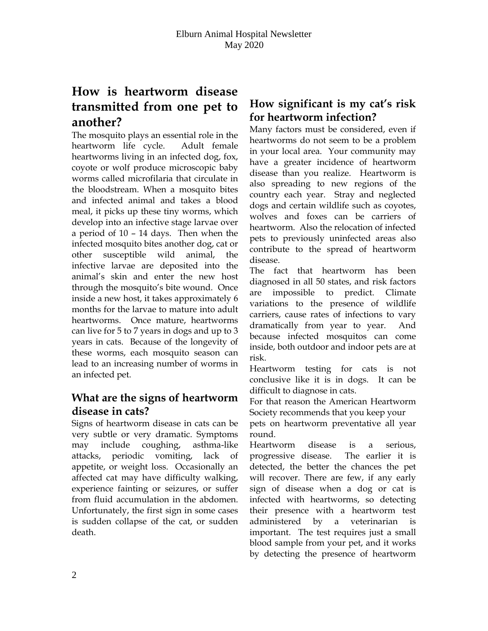# **How is heartworm disease transmitted from one pet to another?**

The mosquito plays an essential role in the heartworm life cycle. Adult female heartworms living in an infected dog, fox, coyote or wolf produce microscopic baby worms called microfilaria that circulate in the bloodstream. When a mosquito bites and infected animal and takes a blood meal, it picks up these tiny worms, which develop into an infective stage larvae over a period of 10 – 14 days. Then when the infected mosquito bites another dog, cat or other susceptible wild animal, the infective larvae are deposited into the animal's skin and enter the new host through the mosquito's bite wound. Once inside a new host, it takes approximately 6 months for the larvae to mature into adult heartworms. Once mature, heartworms can live for 5 to 7 years in dogs and up to 3 years in cats. Because of the longevity of these worms, each mosquito season can lead to an increasing number of worms in an infected pet.

## **What are the signs of heartworm disease in cats?**

Signs of heartworm disease in cats can be very subtle or very dramatic. Symptoms may include coughing, asthma-like attacks, periodic vomiting, lack of appetite, or weight loss. Occasionally an affected cat may have difficulty walking, experience fainting or seizures, or suffer from fluid accumulation in the abdomen. Unfortunately, the first sign in some cases is sudden collapse of the cat, or sudden death.

# **How significant is my cat's risk for heartworm infection?**

Many factors must be considered, even if heartworms do not seem to be a problem in your local area. Your community may have a greater incidence of heartworm disease than you realize. Heartworm is also spreading to new regions of the country each year. Stray and neglected dogs and certain wildlife such as coyotes, wolves and foxes can be carriers of heartworm. Also the relocation of infected pets to previously uninfected areas also contribute to the spread of heartworm disease.

The fact that heartworm has been diagnosed in all 50 states, and risk factors are impossible to predict. Climate variations to the presence of wildlife carriers, cause rates of infections to vary dramatically from year to year. And because infected mosquitos can come inside, both outdoor and indoor pets are at risk.

Heartworm testing for cats is not conclusive like it is in dogs. It can be difficult to diagnose in cats.

For that reason the American Heartworm Society recommends that you keep your

pets on heartworm preventative all year round.

Heartworm disease is a serious, progressive disease. The earlier it is detected, the better the chances the pet will recover. There are few, if any early sign of disease when a dog or cat is infected with heartworms, so detecting their presence with a heartworm test administered by a veterinarian is important. The test requires just a small blood sample from your pet, and it works by detecting the presence of heartworm